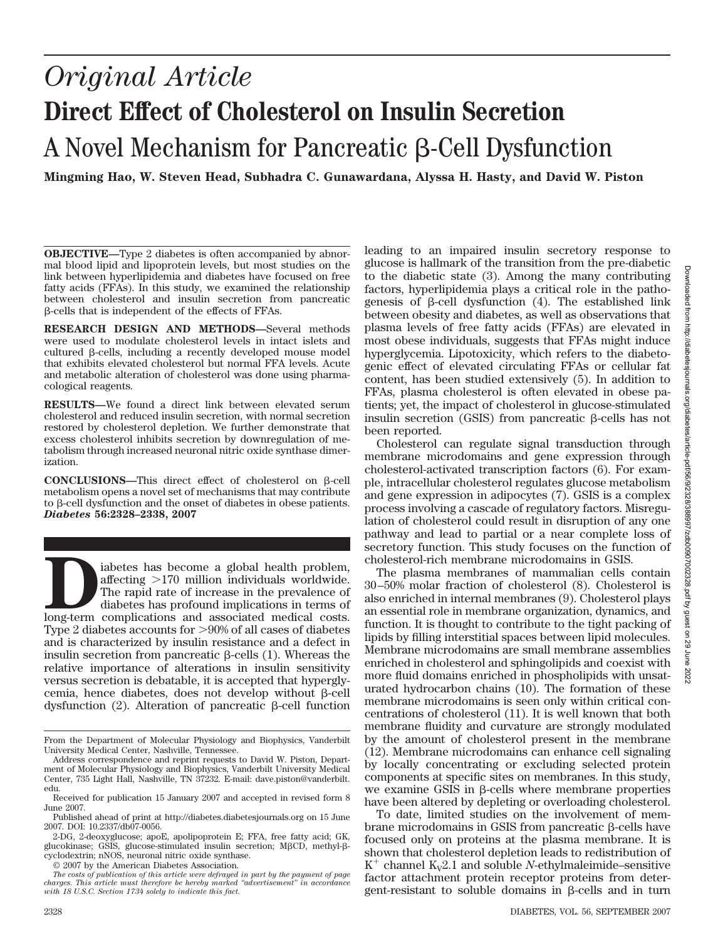# *Original Article* **Direct Effect of Cholesterol on Insulin Secretion** A Novel Mechanism for Pancreatic  $\beta$ -Cell Dysfunction

**Mingming Hao, W. Steven Head, Subhadra C. Gunawardana, Alyssa H. Hasty, and David W. Piston**

**OBJECTIVE—**Type 2 diabetes is often accompanied by abnormal blood lipid and lipoprotein levels, but most studies on the link between hyperlipidemia and diabetes have focused on free fatty acids (FFAs). In this study, we examined the relationship between cholesterol and insulin secretion from pancreatic  $\beta$ -cells that is independent of the effects of FFAs.

**RESEARCH DESIGN AND METHODS—**Several methods were used to modulate cholesterol levels in intact islets and cultured  $\beta$ -cells, including a recently developed mouse model that exhibits elevated cholesterol but normal FFA levels. Acute and metabolic alteration of cholesterol was done using pharmacological reagents.

**RESULTS—**We found a direct link between elevated serum cholesterol and reduced insulin secretion, with normal secretion restored by cholesterol depletion. We further demonstrate that excess cholesterol inhibits secretion by downregulation of metabolism through increased neuronal nitric oxide synthase dimerization.

CONCLUSIONS—This direct effect of cholesterol on β-cell metabolism opens a novel set of mechanisms that may contribute to  $\beta$ -cell dysfunction and the onset of diabetes in obese patients. *Diabetes* **56:2328–2338, 2007**

iabetes has become a global health problem, affecting >170 million individuals worldwide. The rapid rate of increase in the prevalence of diabetes has profound implications in terms of long-term complications and associate affecting -170 million individuals worldwide. The rapid rate of increase in the prevalence of diabetes has profound implications in terms of long-term complications and associated medical costs. Type 2 diabetes accounts for >90% of all cases of diabetes and is characterized by insulin resistance and a defect in insulin secretion from pancreatic  $\beta$ -cells (1). Whereas the relative importance of alterations in insulin sensitivity versus secretion is debatable, it is accepted that hyperglycemia, hence diabetes, does not develop without  $\beta$ -cell dysfunction (2). Alteration of pancreatic  $\beta$ -cell function

© 2007 by the American Diabetes Association.

leading to an impaired insulin secretory response to glucose is hallmark of the transition from the pre-diabetic to the diabetic state (3). Among the many contributing factors, hyperlipidemia plays a critical role in the pathogenesis of  $\beta$ -cell dysfunction (4). The established link between obesity and diabetes, as well as observations that plasma levels of free fatty acids (FFAs) are elevated in most obese individuals, suggests that FFAs might induce hyperglycemia. Lipotoxicity, which refers to the diabetogenic effect of elevated circulating FFAs or cellular fat content, has been studied extensively (5). In addition to FFAs, plasma cholesterol is often elevated in obese patients; yet, the impact of cholesterol in glucose-stimulated insulin secretion (GSIS) from pancreatic  $\beta$ -cells has not been reported.

Cholesterol can regulate signal transduction through membrane microdomains and gene expression through cholesterol-activated transcription factors (6). For example, intracellular cholesterol regulates glucose metabolism and gene expression in adipocytes (7). GSIS is a complex process involving a cascade of regulatory factors. Misregulation of cholesterol could result in disruption of any one pathway and lead to partial or a near complete loss of secretory function. This study focuses on the function of cholesterol-rich membrane microdomains in GSIS.

The plasma membranes of mammalian cells contain 30–50% molar fraction of cholesterol (8). Cholesterol is also enriched in internal membranes (9). Cholesterol plays an essential role in membrane organization, dynamics, and function. It is thought to contribute to the tight packing of lipids by filling interstitial spaces between lipid molecules. Membrane microdomains are small membrane assemblies enriched in cholesterol and sphingolipids and coexist with more fluid domains enriched in phospholipids with unsaturated hydrocarbon chains (10). The formation of these membrane microdomains is seen only within critical concentrations of cholesterol (11). It is well known that both membrane fluidity and curvature are strongly modulated by the amount of cholesterol present in the membrane (12). Membrane microdomains can enhance cell signaling by locally concentrating or excluding selected protein components at specific sites on membranes. In this study, we examine GSIS in  $\beta$ -cells where membrane properties have been altered by depleting or overloading cholesterol.

To date, limited studies on the involvement of membrane microdomains in GSIS from pancreatic  $\beta$ -cells have focused only on proteins at the plasma membrane. It is shown that cholesterol depletion leads to redistribution of  $K^+$  channel  $K_v2.1$  and soluble *N*-ethylmaleimide–sensitive factor attachment protein receptor proteins from detergent-resistant to soluble domains in  $\beta$ -cells and in turn

From the Department of Molecular Physiology and Biophysics, Vanderbilt University Medical Center, Nashville, Tennessee.

Address correspondence and reprint requests to David W. Piston, Department of Molecular Physiology and Biophysics, Vanderbilt University Medical Center, 735 Light Hall, Nashville, TN 37232. E-mail: dave.piston@vanderbilt. edu.

Received for publication 15 January 2007 and accepted in revised form 8 June 2007.

Published ahead of print at http://diabetes.diabetesjournals.org on 15 June 2007. DOI: 10.2337/db07-0056.

<sup>2-</sup>DG, 2-deoxyglucose; apoE, apolipoprotein E; FFA, free fatty acid; GK, glucokinase; GSIS, glucose-stimulated insulin secretion; MBCD, methyl-ßcyclodextrin; nNOS, neuronal nitric oxide synthase.

*The costs of publication of this article were defrayed in part by the payment of page charges. This article must therefore be hereby marked "advertisement" in accordance with 18 U.S.C. Section 1734 solely to indicate this fact.*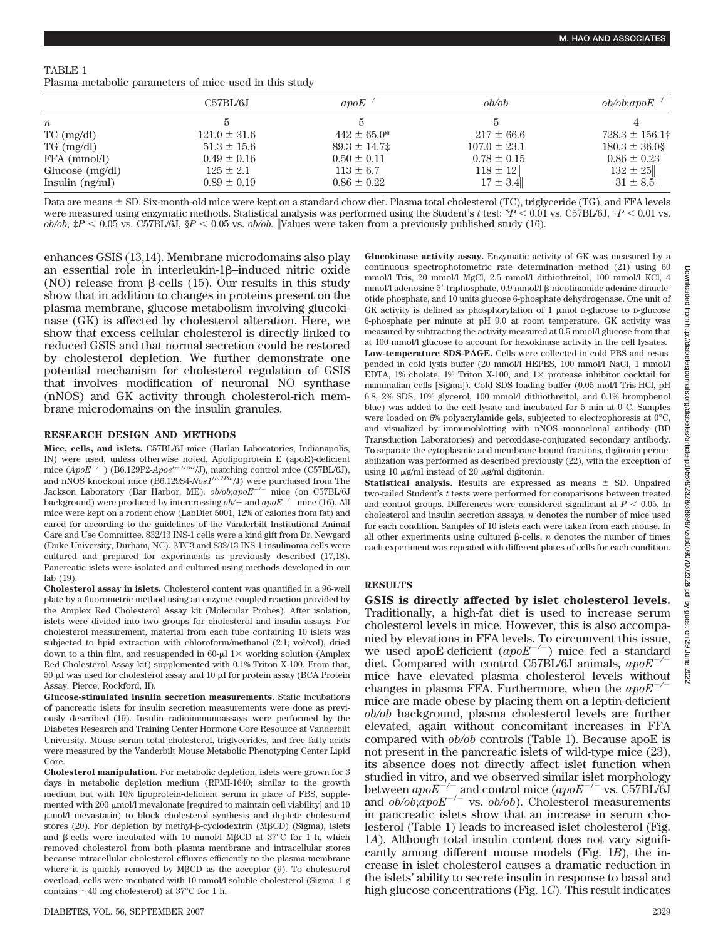### TABLE 1

Plasma metabolic parameters of mice used in this study

|                   | C57BL/6J         | $apoE^{-/-}$     | ob/ob            | $ob/ob; apoE^{-/-}$ |
|-------------------|------------------|------------------|------------------|---------------------|
| $\boldsymbol{n}$  |                  |                  |                  |                     |
| $TC$ (mg/dl)      | $121.0 \pm 31.6$ | $442 \pm 65.0^*$ | $217 \pm 66.6$   | $728.3 \pm 156.1^+$ |
| $TG \, (mg/dl)$   | $51.3 \pm 15.6$  | $89.3 \pm 14.7$  | $107.0 \pm 23.1$ | $180.3 \pm 36.0$    |
| FFA (mmol/l)      | $0.49 \pm 0.16$  | $0.50 \pm 0.11$  | $0.78 \pm 0.15$  | $0.86 \pm 0.23$     |
| Glucose $(mg/dl)$ | $125 \pm 2.1$    | $113 \pm 6.7$    | $118 \pm 12$     | $132 \pm 25$        |
| Insulin $(ng/ml)$ | $0.89 \pm 0.19$  | $0.86 \pm 0.22$  | $17 \pm 3.4$     | $31 \pm 8.5$        |

Data are means  $\pm$  SD. Six-month-old mice were kept on a standard chow diet. Plasma total cholesterol (TC), triglyceride (TG), and FFA levels were measured using enzymatic methods. Statistical analysis was performed using the Student's *t* test: \* $P < 0.01$  vs. C57BL/6J,  $\dagger P < 0.01$  vs.  $ob/ob$ ,  $\sharp P < 0.05$  vs. C57BL/6J,  $\sharp P < 0.05$  vs.  $ob/ob$ . Values were taken from a previously published study (16).

enhances GSIS (13,14). Membrane microdomains also play an essential role in interleukin- $1\beta$ -induced nitric oxide (NO) release from  $\beta$ -cells (15). Our results in this study show that in addition to changes in proteins present on the plasma membrane, glucose metabolism involving glucokinase (GK) is affected by cholesterol alteration. Here, we show that excess cellular cholesterol is directly linked to reduced GSIS and that normal secretion could be restored by cholesterol depletion. We further demonstrate one potential mechanism for cholesterol regulation of GSIS that involves modification of neuronal NO synthase (nNOS) and GK activity through cholesterol-rich membrane microdomains on the insulin granules.

#### **RESEARCH DESIGN AND METHODS**

**Mice, cells, and islets.** C57BL/6J mice (Harlan Laboratories, Indianapolis, IN) were used, unless otherwise noted. Apolipoprotein E (apoE)-deficient mice (*ApoE<sup>-/-</sup>*) (B6.129P2-*Apoe<sup>tm1Unc</sup>*/J), matching control mice (C57BL/6J), and nNOS knockout mice (B6.129S4-*Nos1tm1Plh*/J) were purchased from The Jackson Laboratory (Bar Harbor, ME).  $ob/ob;apoE^{-/-}$  mice (on C57BL/6J background) were produced by intercrossing  $ob/$ + and  $apoE^{-/-}$  mice (16). All mice were kept on a rodent chow (LabDiet 5001, 12% of calories from fat) and cared for according to the guidelines of the Vanderbilt Institutional Animal Care and Use Committee. 832/13 INS-1 cells were a kind gift from Dr. Newgard (Duke University, Durham, NC). βTC3 and 832/13 INS-1 insulinoma cells were cultured and prepared for experiments as previously described (17,18). Pancreatic islets were isolated and cultured using methods developed in our lab (19).

**Cholesterol assay in islets.** Cholesterol content was quantified in a 96-well plate by a fluorometric method using an enzyme-coupled reaction provided by the Amplex Red Cholesterol Assay kit (Molecular Probes). After isolation, islets were divided into two groups for cholesterol and insulin assays. For cholesterol measurement, material from each tube containing 10 islets was subjected to lipid extraction with chloroform/methanol (2:1; vol/vol), dried down to a thin film, and resuspended in 60- $\mu$ l 1 $\times$  working solution (Amplex Red Cholesterol Assay kit) supplemented with 0.1% Triton X-100. From that,  $50 \mu$ l was used for cholesterol assay and  $10 \mu$ l for protein assay (BCA Protein Assay; Pierce, Rockford, Il).

**Glucose-stimulated insulin secretion measurements.** Static incubations of pancreatic islets for insulin secretion measurements were done as previously described (19). Insulin radioimmunoassays were performed by the Diabetes Research and Training Center Hormone Core Resource at Vanderbilt University. Mouse serum total cholesterol, triglycerides, and free fatty acids were measured by the Vanderbilt Mouse Metabolic Phenotyping Center Lipid Core.

**Cholesterol manipulation.** For metabolic depletion, islets were grown for 3 days in metabolic depletion medium (RPMI-1640; similar to the growth medium but with 10% lipoprotein-deficient serum in place of FBS, supplemented with  $200 \mu m$ ol/l mevalonate [required to maintain cell viability] and 10 mol/l mevastatin) to block cholesterol synthesis and deplete cholesterol stores (20). For depletion by methyl- $\beta$ -cyclodextrin (M $\beta$ CD) (Sigma), islets and  $\beta$ -cells were incubated with 10 mmol/l M $\beta$ CD at 37<sup>o</sup>C for 1 h, which removed cholesterol from both plasma membrane and intracellular stores because intracellular cholesterol effluxes efficiently to the plasma membrane where it is quickly removed by M $\beta$ CD as the acceptor (9). To cholesterol overload, cells were incubated with 10 mmol/l soluble cholesterol (Sigma; 1 g contains  $\sim$  40 mg cholesterol) at 37°C for 1 h.

**Glucokinase activity assay.** Enzymatic activity of GK was measured by a continuous spectrophotometric rate determination method (21) using 60 mmol/l Tris, 20 mmol/l MgCl, 2.5 mmol/l dithiothreitol, 100 mmol/l KCl, 4 mmol/l adenosine 5'-triphosphate, 0.9 mmol/l  $\beta$ -nicotinamide adenine dinucleotide phosphate, and 10 units glucose 6-phosphate dehydrogenase. One unit of GK activity is defined as phosphorylation of  $1 \mu \text{mol}$  D-glucose to D-glucose 6-phosphate per minute at pH 9.0 at room temperature. GK activity was measured by subtracting the activity measured at 0.5 mmol/l glucose from that at 100 mmol/l glucose to account for hexokinase activity in the cell lysates. **Low-temperature SDS-PAGE.** Cells were collected in cold PBS and resuspended in cold lysis buffer (20 mmol/l HEPES, 100 mmol/l NaCl, 1 mmol/l EDTA, 1% cholate, 1% Triton X-100, and  $1 \times$  protease inhibitor cocktail for mammalian cells [Sigma]). Cold SDS loading buffer (0.05 mol/l Tris-HCl, pH 6.8, 2% SDS, 10% glycerol, 100 mmol/l dithiothreitol, and 0.1% bromphenol blue) was added to the cell lysate and incubated for 5 min at 0°C. Samples were loaded on 6% polyacrylamide gels, subjected to electrophoresis at 0°C, and visualized by immunoblotting with nNOS monoclonal antibody (BD Transduction Laboratories) and peroxidase-conjugated secondary antibody. To separate the cytoplasmic and membrane-bound fractions, digitonin permeabilization was performed as described previously (22), with the exception of using 10  $\mu$ g/ml instead of 20  $\mu$ g/ml digitonin.

**Statistical analysis.** Results are expressed as means  $\pm$  SD. Unpaired two-tailed Student's *t* tests were performed for comparisons between treated and control groups. Differences were considered significant at  $P < 0.05$ . In cholesterol and insulin secretion assays, *n* denotes the number of mice used for each condition. Samples of 10 islets each were taken from each mouse. In all other experiments using cultured  $\beta$ -cells, *n* denotes the number of times each experiment was repeated with different plates of cells for each condition.

## **RESULTS**

**GSIS is directly affected by islet cholesterol levels.** Traditionally, a high-fat diet is used to increase serum cholesterol levels in mice. However, this is also accompanied by elevations in FFA levels. To circumvent this issue, we used apoE-deficient (apoE<sup>-/-</sup>) mice fed a standard diet. Compared with control C57BL/6J animals,  $a \nu \partial E$ <sup>-</sup> mice have elevated plasma cholesterol levels without changes in plasma FFA. Furthermore, when the *apoE/* mice are made obese by placing them on a leptin-deficient *ob/ob* background, plasma cholesterol levels are further elevated, again without concomitant increases in FFA compared with *ob/ob* controls (Table 1). Because apoE is not present in the pancreatic islets of wild-type mice (23), its absence does not directly affect islet function when studied in vitro, and we observed similar islet morphology between  $apoE^{-/-}$  and control mice  $(apoE^{-/-}$  vs. C57BL/6J and *ob/ob*;*apoE<sup>-/-</sup>* vs. *ob/ob*). Cholesterol measurements in pancreatic islets show that an increase in serum cholesterol (Table 1) leads to increased islet cholesterol (Fig. 1*A*). Although total insulin content does not vary significantly among different mouse models (Fig. 1*B*), the increase in islet cholesterol causes a dramatic reduction in the islets' ability to secrete insulin in response to basal and high glucose concentrations (Fig. 1*C*). This result indicates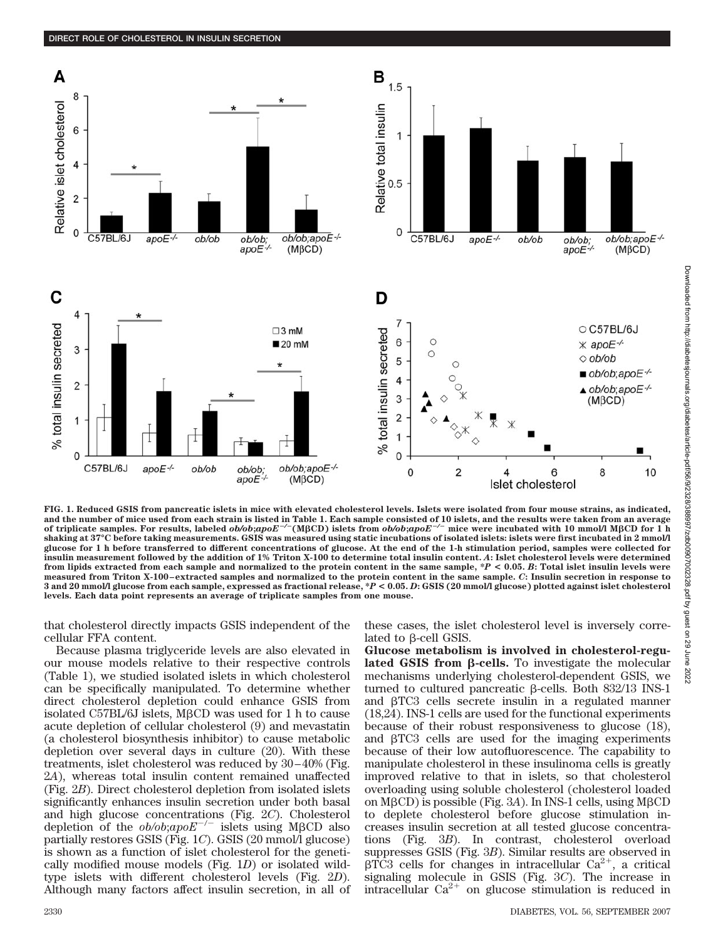

**FIG. 1. Reduced GSIS from pancreatic islets in mice with elevated cholesterol levels. Islets were isolated from four mouse strains, as indicated, and the number of mice used from each strain is listed in Table 1. Each sample consisted of 10 islets, and the results were taken from an average** of triplicate samples. For results, labeled  $ob/b;apoE^{-/-}$  (MβCD) islets from  $ob/b;apoE^{-/-}$  mice were incubated with 10 mmol/l MβCD for 1 h **shaking at 37°C before taking measurements. GSIS was measured using static incubations of isolated islets: islets were first incubated in 2 mmol/l glucose for 1 h before transferred to different concentrations of glucose. At the end of the 1-h stimulation period, samples were collected for insulin measurement followed by the addition of 1% Triton X-100 to determine total insulin content.** *A***: Islet cholesterol levels were determined from lipids extracted from each sample and normalized to the protein content in the same sample, \****P* **< 0.05.** *B***: Total islet insulin levels were measured from Triton X-100–extracted samples and normalized to the protein content in the same sample.** *C***: Insulin secretion in response to 3 and 20 mmol/l glucose from each sample, expressed as fractional release, \****P* **< 0.05.** *D***: GSIS (20 mmol/l glucose) plotted against islet cholesterol levels. Each data point represents an average of triplicate samples from one mouse.**

that cholesterol directly impacts GSIS independent of the cellular FFA content.

Because plasma triglyceride levels are also elevated in our mouse models relative to their respective controls (Table 1), we studied isolated islets in which cholesterol can be specifically manipulated. To determine whether direct cholesterol depletion could enhance GSIS from isolated C57BL/6J islets, MβCD was used for 1 h to cause acute depletion of cellular cholesterol (9) and mevastatin (a cholesterol biosynthesis inhibitor) to cause metabolic depletion over several days in culture (20). With these treatments, islet cholesterol was reduced by 30–40% (Fig. 2*A*), whereas total insulin content remained unaffected (Fig. 2*B*). Direct cholesterol depletion from isolated islets significantly enhances insulin secretion under both basal and high glucose concentrations (Fig. 2*C*). Cholesterol depletion of the  $ob/ob; apoE^{-/-}$  islets using M<sub>BCD</sub> also partially restores GSIS (Fig. 1*C*). GSIS (20 mmol/l glucose) is shown as a function of islet cholesterol for the genetically modified mouse models (Fig. 1*D*) or isolated wildtype islets with different cholesterol levels (Fig. 2*D*). Although many factors affect insulin secretion, in all of these cases, the islet cholesterol level is inversely correlated to  $\beta$ -cell GSIS.

**Glucose metabolism is involved in cholesterol-regulated GSIS from β-cells.** To investigate the molecular mechanisms underlying cholesterol-dependent GSIS, we turned to cultured pancreatic  $\beta$ -cells. Both 832/13 INS-1 and  $\beta$ TC3 cells secrete insulin in a regulated manner (18,24). INS-1 cells are used for the functional experiments because of their robust responsiveness to glucose (18), and  $\beta$ TC3 cells are used for the imaging experiments because of their low autofluorescence. The capability to manipulate cholesterol in these insulinoma cells is greatly improved relative to that in islets, so that cholesterol overloading using soluble cholesterol (cholesterol loaded on  $M\beta$ CD) is possible (Fig. 3*A*). In INS-1 cells, using  $M\beta$ CD to deplete cholesterol before glucose stimulation increases insulin secretion at all tested glucose concentrations (Fig. 3*B*). In contrast, cholesterol overload suppresses GSIS (Fig. 3*B*). Similar results are observed in  $\beta$ TC3 cells for changes in intracellular Ca<sup>2+</sup>, a critical signaling molecule in GSIS (Fig. 3*C*). The increase in intracellular  $Ca^{2+}$  on glucose stimulation is reduced in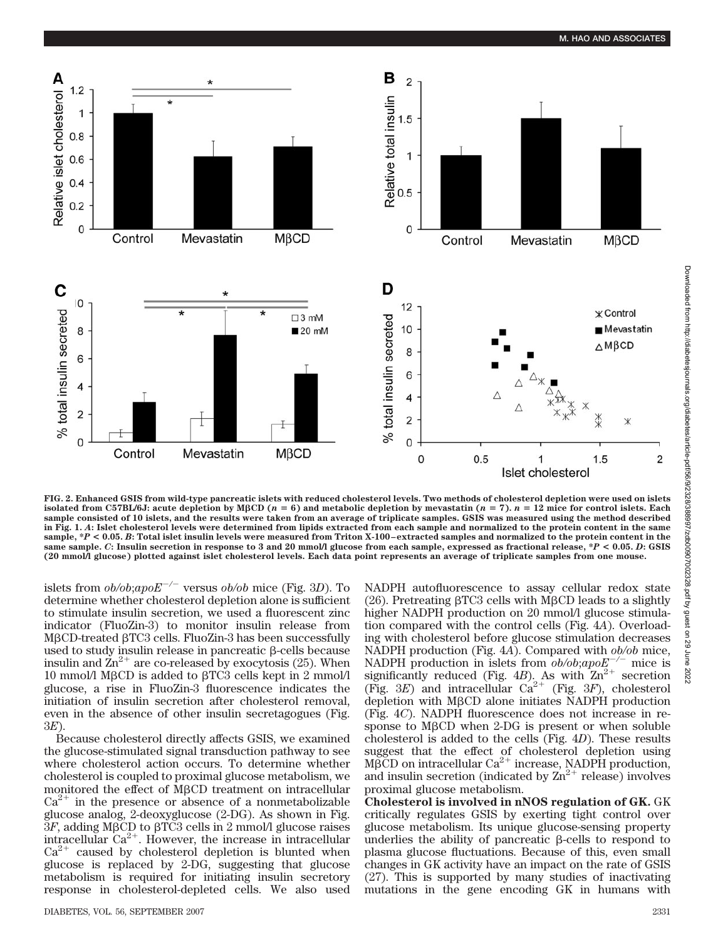

**FIG. 2. Enhanced GSIS from wild-type pancreatic islets with reduced cholesterol levels. Two methods of cholesterol depletion were used on islets isolated from C57BL/6J:** acute depletion by M $\beta$ CD ( $n = 6$ ) and metabolic depletion by mevastatin ( $n = 7$ ).  $n = 12$  mice for control islets. Each **sample consisted of 10 islets, and the results were taken from an average of triplicate samples. GSIS was measured using the method described in Fig. 1.** *A***: Islet cholesterol levels were determined from lipids extracted from each sample and normalized to the protein content in the same sample, \****P* **< 0.05.** *B***: Total islet insulin levels were measured from Triton X-100–extracted samples and normalized to the protein content in the same sample.** *C***: Insulin secretion in response to 3 and 20 mmol/l glucose from each sample, expressed as fractional release, \****P* **< 0.05.** *D***: GSIS (20 mmol/l glucose) plotted against islet cholesterol levels. Each data point represents an average of triplicate samples from one mouse.**

islets from  $ob/ob;apoE^{-/-}$  versus  $ob/ob$  mice (Fig. 3*D*). To determine whether cholesterol depletion alone is sufficient to stimulate insulin secretion, we used a fluorescent zinc indicator (FluoZin-3) to monitor insulin release from  $M\beta$ CD-treated  $\beta$ TC3 cells. FluoZin-3 has been successfully used to study insulin release in pancreatic  $\beta$ -cells because insulin and  $\mathbb{Z}n^{2+}$  are co-released by exocytosis (25). When  $10$  mmol/l MβCD is added to βTC3 cells kept in  $2$  mmol/l  $\,$ glucose, a rise in FluoZin-3 fluorescence indicates the initiation of insulin secretion after cholesterol removal, even in the absence of other insulin secretagogues (Fig. 3*E*).

Because cholesterol directly affects GSIS, we examined the glucose-stimulated signal transduction pathway to see where cholesterol action occurs. To determine whether cholesterol is coupled to proximal glucose metabolism, we monitored the effect of M $\beta$ CD treatment on intracellular  $Ca^{2+}$  in the presence or absence of a nonmetabolizable glucose analog, 2-deoxyglucose (2-DG). As shown in Fig.  $3F$ , adding M $\beta$ CD to  $\beta$ TC3 cells in 2 mmol/l glucose raises intracellular  $Ca^{2+}$ . However, the increase in intracellular  $Ca^{2+}$  caused by cholesterol depletion is blunted when glucose is replaced by 2-DG, suggesting that glucose metabolism is required for initiating insulin secretory response in cholesterol-depleted cells. We also used NADPH autofluorescence to assay cellular redox state (26). Pretreating  $\beta$ TC3 cells with M $\beta$ CD leads to a slightly higher NADPH production on 20 mmol/l glucose stimulation compared with the control cells (Fig. 4*A*). Overloading with cholesterol before glucose stimulation decreases NADPH production (Fig. 4*A*). Compared with *ob/ob* mice, NADPH production in islets from  $ob/ob; apoE^{-/-}$  mice is significantly reduced (Fig. 4*B*). As with  $Zn^{2+}$  secretion (Fig. 3*E*) and intracellular  $Ca^{2+}$  (Fig. 3*F*), cholesterol depletion with  $M\beta$ CD alone initiates NADPH production (Fig. 4*C*). NADPH fluorescence does not increase in response to  $M\beta$ CD when 2-DG is present or when soluble cholesterol is added to the cells (Fig. 4*D*). These results suggest that the effect of cholesterol depletion using  $M\beta$ CD on intracellular Ca<sup>2+</sup> increase, NADPH production, and insulin secretion (indicated by  $\text{Zn}^{2+}$  release) involves proximal glucose metabolism.

**Cholesterol is involved in nNOS regulation of GK.** GK critically regulates GSIS by exerting tight control over glucose metabolism. Its unique glucose-sensing property underlies the ability of pancreatic  $\beta$ -cells to respond to plasma glucose fluctuations. Because of this, even small changes in GK activity have an impact on the rate of GSIS (27). This is supported by many studies of inactivating mutations in the gene encoding GK in humans with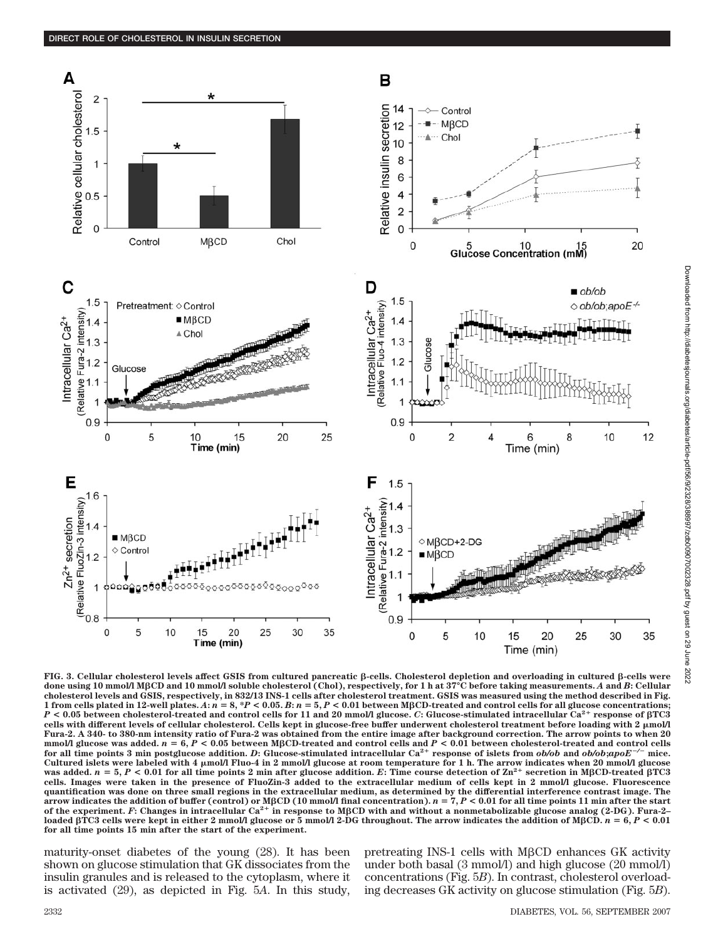



B

 $14$ 

 $12$ 

 $10$ 

8

6  $\overline{4}$ 

 $\overline{2}$ 

0

 $\mathbf 0$ 

Control  $M\beta$ CD

5 10<br>Glucose Concentration (mM)

Chol

Relative insulin secretion

**FIG. 3. Cellular cholesterol levels affect GSIS from cultured pancreatic -cells. Cholesterol depletion and overloading in cultured -cells were done using 10 mmol/l MCD and 10 mmol/l soluble cholesterol (Chol), respectively, for 1 h at 37°C before taking measurements.** *A* **and** *B***: Cellular cholesterol levels and GSIS, respectively, in 832/13 INS-1 cells after cholesterol treatment. GSIS was measured using the method described in Fig.** 1 from cells plated in 12-well plates. A:  $n = 8$ , \*P < 0.05. B:  $n = 5$ , P < 0.01 between MBCD-treated and control cells for all glucose concentrations; *P* **< 0.05 between cholesterol-treated and control cells for 11 and 20 mmol/l glucose.** *C***: Glucose-stimulated intracellular Ca2 response of TC3 cells with different levels of cellular cholesterol. Cells kept in glucose-free buffer underwent cholesterol treatment before loading with 2 mol/l Fura-2. A 340- to 380-nm intensity ratio of Fura-2 was obtained from the entire image after background correction. The arrow points to when 20** mmol/l glucose was added.  $n = 6, P < 0.05$  between MBCD-treated and control cells and  $P < 0.01$  between cholesterol-treated and control cells<br>for all time points 3 min postglucose addition. D: Glucose-stimulated intracellul **for all time points 3 min postglucose addition.** *D***: Glucose-stimulated intracellular Ca2 response of islets from** *ob/ob* **and** *ob/ob***;***apoE*for all time points 3 min postglucose addition. D: Glucose-stimulated intracellular Ca<sup>2+</sup> response of islets from ob/ob and ob/ob;apoE<sup>-/-</sup> mice.<br>Cultured islets were labeled with 4 µmol/l Fluo-4 in 2 mmol/l glucose at r **cells. Images were taken in the presence of FluoZin-3 added to the extracellular medium of cells kept in 2 mmol/l glucose. Fluorescence quantification was done on three small regions in the extracellular medium, as determined by the differential interference contrast image. The** arrow indicates the addition of buffer (control) or MβCD (10 mmol/l final concentration).  $n = 7, P < 0.01$  for all time points 11 min after the start<br>of the experiment. F: Changes in intracellular Ca<sup>2+</sup> in response to MβC **loaded TC3 cells were kept in either 2 mmol/l glucose or 5 mmol/l 2-DG throughout. The arrow indicates the addition of MCD.** *n* **6,** *P* **< 0.01 for all time points 15 min after the start of the experiment.**

maturity-onset diabetes of the young (28). It has been shown on glucose stimulation that GK dissociates from the insulin granules and is released to the cytoplasm, where it is activated (29), as depicted in Fig. 5*A*. In this study, pretreating INS-1 cells with  $M\beta$ CD enhances GK activity under both basal (3 mmol/l) and high glucose (20 mmol/l) concentrations (Fig. 5*B*). In contrast, cholesterol overloading decreases GK activity on glucose stimulation (Fig. 5*B*).

Time (min)

 $12$ 

35

20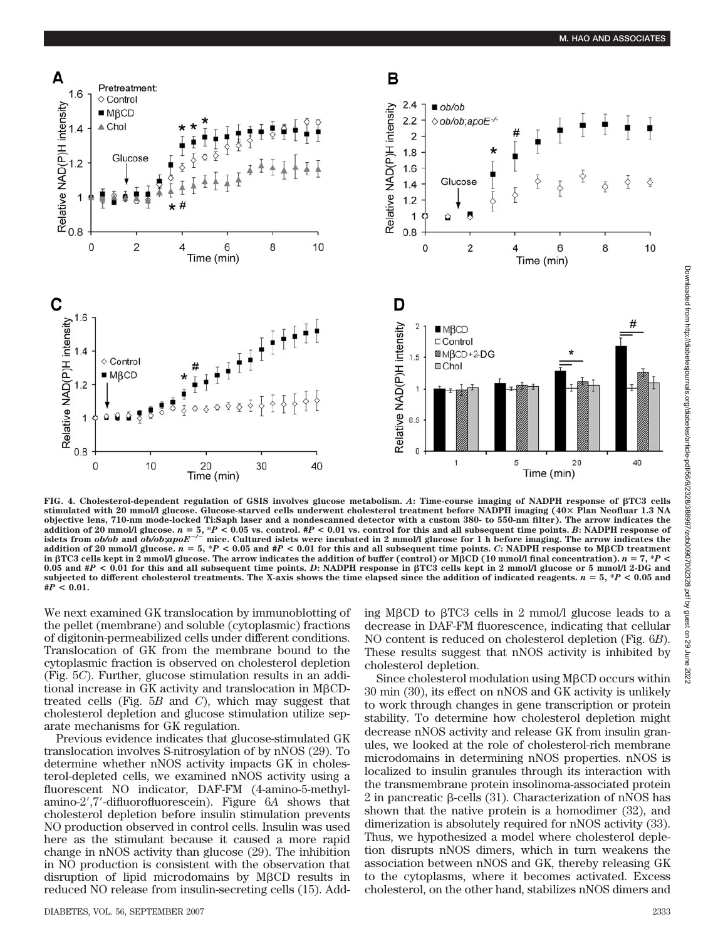

**FIG. 4. Cholesterol-dependent regulation of GSIS involves glucose metabolism.** *A***: Time-course imaging of NADPH response of TC3 cells stimulated with 20 mmol/l glucose. Glucose-starved cells underwent cholesterol treatment before NADPH imaging (40 Plan Neofluar 1.3 NA objective lens, 710-nm mode-locked Ti:Saph laser and a nondescanned detector with a custom 380- to 550-nm filter). The arrow indicates the** addition of 20 mmol/l glucose.  $n = 5$ , \*P < 0.05 vs. control. #P < 0.01 vs. control for this and all subsequent time points. B: NADPH response of<br>islets from ob/ob and ob/ob;apoE<sup>-/–</sup> mice. Cultured islets were incubated i **addition of 20 mmol/l glucose.**  $n = 5$ , \*P < 0.05 and #P < 0.01 for this and all subsequent time points. *C*: NADPH response to M $\beta$ CD treatment in  $\beta$ TC3 cells kept in 2 mmol/l glucose. The arrow indicates the addition of buffer (control) or M $\beta$ CD (10 mmol/l final concentration).  $n = 7$ , \**P* < **0.05 and #***P* **< 0.01 for this and all subsequent time points.** *D***: NADPH response in TC3 cells kept in 2 mmol/l glucose or 5 mmol/l 2-DG and** subjected to different cholesterol treatments. The X-axis shows the time elapsed since the addition of indicated reagents.  $n = 5$ ,  $*P < 0.05$  and **#***P* **< 0.01.**

We next examined GK translocation by immunoblotting of the pellet (membrane) and soluble (cytoplasmic) fractions of digitonin-permeabilized cells under different conditions. Translocation of GK from the membrane bound to the cytoplasmic fraction is observed on cholesterol depletion (Fig. 5*C*). Further, glucose stimulation results in an additional increase in GK activity and translocation in  $M\beta$ CDtreated cells (Fig. 5*B* and *C*), which may suggest that cholesterol depletion and glucose stimulation utilize separate mechanisms for GK regulation.

Previous evidence indicates that glucose-stimulated GK translocation involves S-nitrosylation of by nNOS (29). To determine whether nNOS activity impacts GK in cholesterol-depleted cells, we examined nNOS activity using a fluorescent NO indicator, DAF-FM (4-amino-5-methylamino-2,7-difluorofluorescein). Figure 6*A* shows that cholesterol depletion before insulin stimulation prevents NO production observed in control cells. Insulin was used here as the stimulant because it caused a more rapid change in nNOS activity than glucose (29). The inhibition in NO production is consistent with the observation that disruption of lipid microdomains by  $M\beta CD$  results in reduced NO release from insulin-secreting cells (15). Add-

DIABETES, VOL. 56, SEPTEMBER 2007 2333

ing M $\beta$ CD to  $\beta$ TC3 cells in 2 mmol/l glucose leads to a decrease in DAF-FM fluorescence, indicating that cellular NO content is reduced on cholesterol depletion (Fig. 6*B*). These results suggest that nNOS activity is inhibited by cholesterol depletion.

Since cholesterol modulation using  $M\beta$ CD occurs within 30 min (30), its effect on nNOS and GK activity is unlikely to work through changes in gene transcription or protein stability. To determine how cholesterol depletion might decrease nNOS activity and release GK from insulin granules, we looked at the role of cholesterol-rich membrane microdomains in determining nNOS properties. nNOS is localized to insulin granules through its interaction with the transmembrane protein insolinoma-associated protein  $2$  in pancreatic  $\beta$ -cells (31). Characterization of nNOS has shown that the native protein is a homodimer (32), and dimerization is absolutely required for nNOS activity (33). Thus, we hypothesized a model where cholesterol depletion disrupts nNOS dimers, which in turn weakens the association between nNOS and GK, thereby releasing GK to the cytoplasms, where it becomes activated. Excess cholesterol, on the other hand, stabilizes nNOS dimers and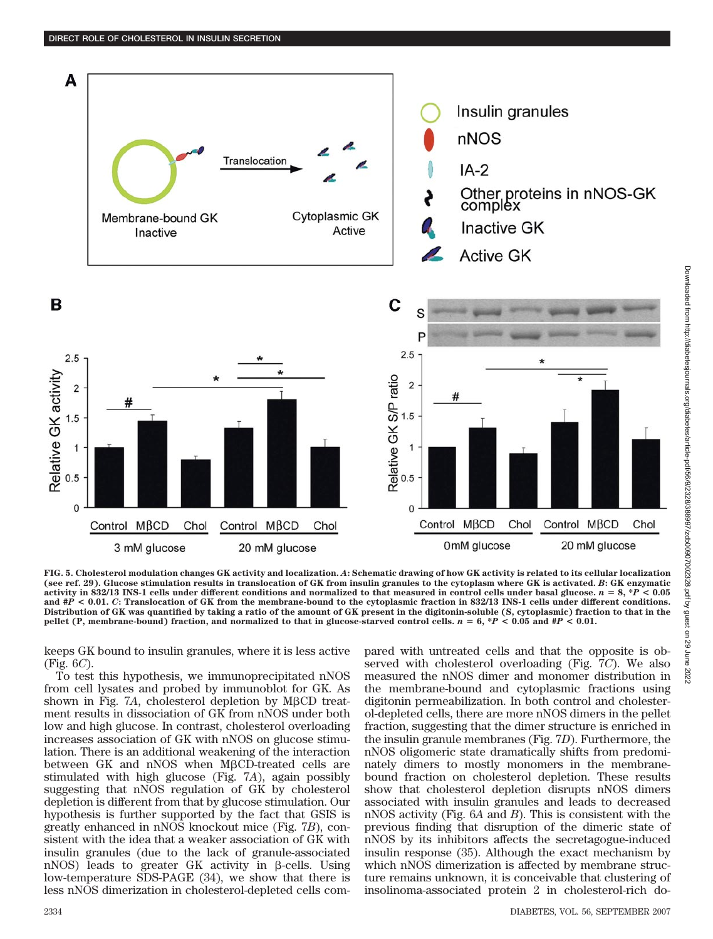

**FIG. 5. Cholesterol modulation changes GK activity and localization.** *A***: Schematic drawing of how GK activity is related to its cellular localization (see ref. 29). Glucose stimulation results in translocation of GK from insulin granules to the cytoplasm where GK is activated.** *B***: GK enzymatic activity in 832/13 INS-1 cells under different conditions and normalized to that measured in control cells under basal glucose.**  $n = 8$ **,**  $*P < 0.05$ **and #***P* **< 0.01.** *C***: Translocation of GK from the membrane-bound to the cytoplasmic fraction in 832/13 INS-1 cells under different conditions. Distribution of GK was quantified by taking a ratio of the amount of GK present in the digitonin-soluble (S, cytoplasmic) fraction to that in the pellet (P, membrane-bound) fraction, and normalized to that in glucose-starved control cells.** *n* **6, \****P* **< 0.05 and #***P* **< 0.01.**

keeps GK bound to insulin granules, where it is less active (Fig. 6*C*).

To test this hypothesis, we immunoprecipitated nNOS from cell lysates and probed by immunoblot for GK. As shown in Fig.  $7A$ , cholesterol depletion by M $\beta$ CD treatment results in dissociation of GK from nNOS under both low and high glucose. In contrast, cholesterol overloading increases association of GK with nNOS on glucose stimulation. There is an additional weakening of the interaction between GK and nNOS when MßCD-treated cells are stimulated with high glucose (Fig. 7*A*), again possibly suggesting that nNOS regulation of GK by cholesterol depletion is different from that by glucose stimulation. Our hypothesis is further supported by the fact that GSIS is greatly enhanced in nNOS knockout mice (Fig. 7*B*), consistent with the idea that a weaker association of GK with insulin granules (due to the lack of granule-associated nNOS) leads to greater GK activity in  $\beta$ -cells. Using low-temperature SDS-PAGE (34), we show that there is less nNOS dimerization in cholesterol-depleted cells compared with untreated cells and that the opposite is observed with cholesterol overloading (Fig. 7*C*). We also measured the nNOS dimer and monomer distribution in the membrane-bound and cytoplasmic fractions using digitonin permeabilization. In both control and cholesterol-depleted cells, there are more nNOS dimers in the pellet fraction, suggesting that the dimer structure is enriched in the insulin granule membranes (Fig. 7*D*). Furthermore, the nNOS oligomeric state dramatically shifts from predominately dimers to mostly monomers in the membranebound fraction on cholesterol depletion. These results show that cholesterol depletion disrupts nNOS dimers associated with insulin granules and leads to decreased nNOS activity (Fig. 6*A* and *B*). This is consistent with the previous finding that disruption of the dimeric state of nNOS by its inhibitors affects the secretagogue-induced insulin response (35). Although the exact mechanism by which nNOS dimerization is affected by membrane structure remains unknown, it is conceivable that clustering of insolinoma-associated protein 2 in cholesterol-rich do-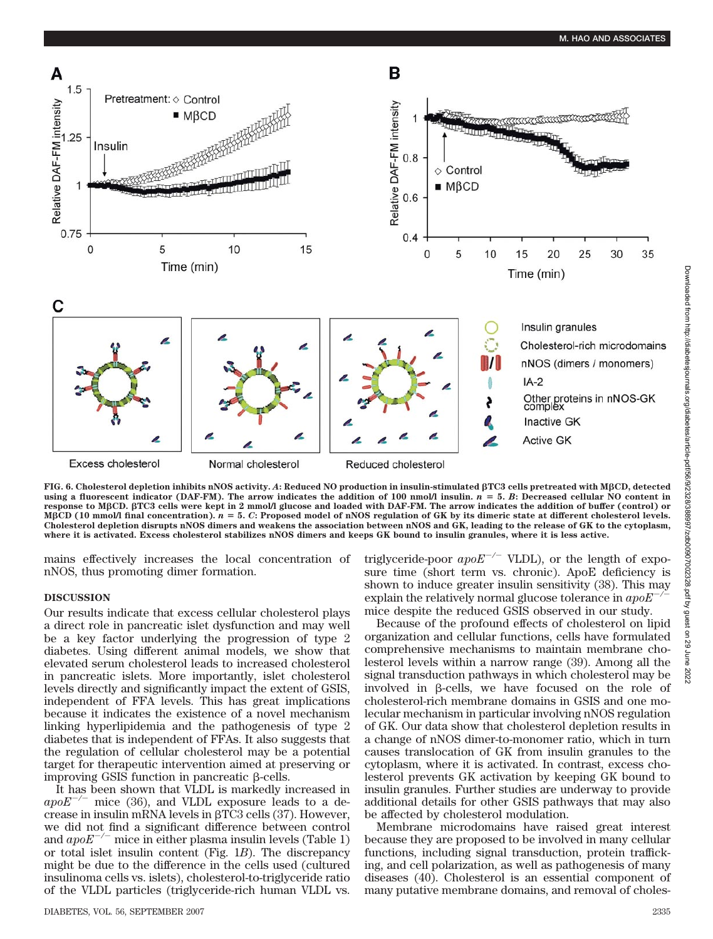

**FIG. 6. Cholesterol depletion inhibits nNOS activity.** *A***: Reduced NO production in insulin-stimulated TC3 cells pretreated with MCD, detected** using a fluorescent indicator (DAF-FM). The arrow indicates the addition of 100 nmol/l insulin.  $n = 5$ . *B*: Decreased cellular NO content in **response to MCD. TC3 cells were kept in 2 mmol/l glucose and loaded with DAF-FM. The arrow indicates the addition of buffer (control) or** M $\beta$ CD (10 mmol/l final concentration).  $n = 5$ . *C*: Proposed model of nNOS regulation of GK by its dimeric state at different cholesterol levels. **Cholesterol depletion disrupts nNOS dimers and weakens the association between nNOS and GK, leading to the release of GK to the cytoplasm, where it is activated. Excess cholesterol stabilizes nNOS dimers and keeps GK bound to insulin granules, where it is less active.**

mains effectively increases the local concentration of nNOS, thus promoting dimer formation.

## **DISCUSSION**

Our results indicate that excess cellular cholesterol plays a direct role in pancreatic islet dysfunction and may well be a key factor underlying the progression of type 2 diabetes. Using different animal models, we show that elevated serum cholesterol leads to increased cholesterol in pancreatic islets. More importantly, islet cholesterol levels directly and significantly impact the extent of GSIS, independent of FFA levels. This has great implications because it indicates the existence of a novel mechanism linking hyperlipidemia and the pathogenesis of type 2 diabetes that is independent of FFAs. It also suggests that the regulation of cellular cholesterol may be a potential target for therapeutic intervention aimed at preserving or improving GSIS function in pancreatic  $\beta$ -cells.

It has been shown that VLDL is markedly increased in  $apoE^{-/-}$  mice (36), and VLDL exposure leads to a decrease in insulin mRNA levels in  $\beta$ TC3 cells (37). However, we did not find a significant difference between control and  $apoE^{-/-}$  mice in either plasma insulin levels (Table 1) or total islet insulin content (Fig. 1*B*). The discrepancy might be due to the difference in the cells used (cultured insulinoma cells vs. islets), cholesterol-to-triglyceride ratio of the VLDL particles (triglyceride-rich human VLDL vs.

DIABETES, VOL. 56, SEPTEMBER 2007 2335

triglyceride-poor  $apoE^{-/-}$  VLDL), or the length of exposure time (short term vs. chronic). ApoE deficiency is shown to induce greater insulin sensitivity (38). This may explain the relatively normal glucose tolerance in *apoE/* mice despite the reduced GSIS observed in our study.

Because of the profound effects of cholesterol on lipid organization and cellular functions, cells have formulated comprehensive mechanisms to maintain membrane cholesterol levels within a narrow range (39). Among all the signal transduction pathways in which cholesterol may be involved in  $\beta$ -cells, we have focused on the role of cholesterol-rich membrane domains in GSIS and one molecular mechanism in particular involving nNOS regulation of GK. Our data show that cholesterol depletion results in a change of nNOS dimer-to-monomer ratio, which in turn causes translocation of GK from insulin granules to the cytoplasm, where it is activated. In contrast, excess cholesterol prevents GK activation by keeping GK bound to insulin granules. Further studies are underway to provide additional details for other GSIS pathways that may also be affected by cholesterol modulation.

Membrane microdomains have raised great interest because they are proposed to be involved in many cellular functions, including signal transduction, protein trafficking, and cell polarization, as well as pathogenesis of many diseases (40). Cholesterol is an essential component of many putative membrane domains, and removal of choles-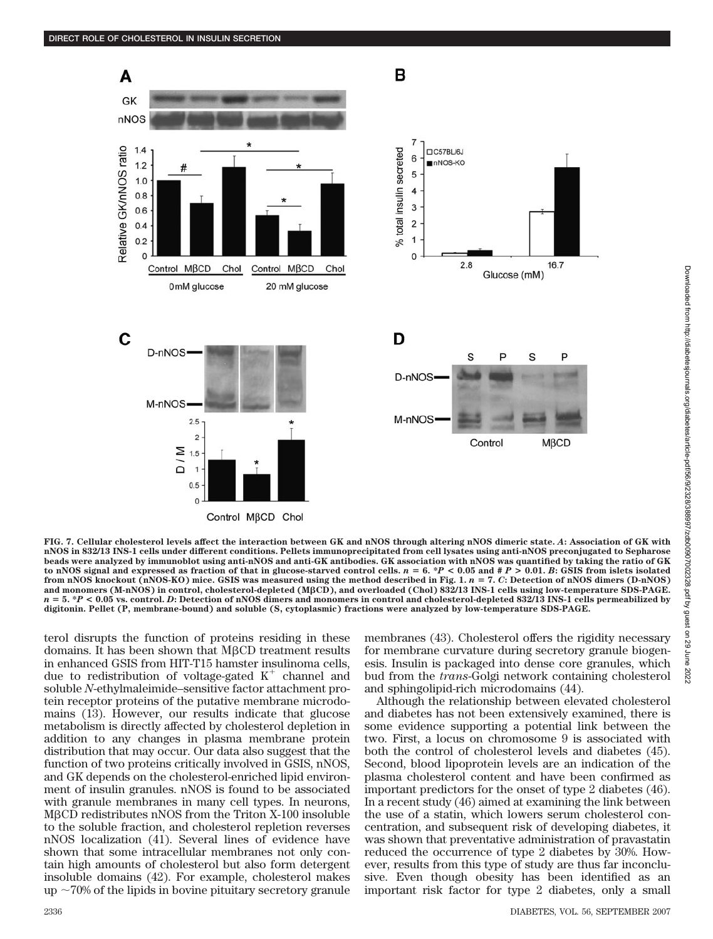

**FIG. 7. Cellular cholesterol levels affect the interaction between GK and nNOS through altering nNOS dimeric state.** *A***: Association of GK with nNOS in 832/13 INS-1 cells under different conditions. Pellets immunoprecipitated from cell lysates using anti-nNOS preconjugated to Sepharose beads were analyzed by immunoblot using anti-nNOS and anti-GK antibodies. GK association with nNOS was quantified by taking the ratio of GK** to nNOS signal and expressed as fraction of that in glucose-starved control cells.  $n = 6$ . \* $P < 0.05$  and  $\#P > 0.01$ . *B*: GSIS from islets isolated **from nNOS knockout (nNOS-KO) mice. GSIS was measured using the method described in Fig. 1.** *n* **7.** *C***: Detection of nNOS dimers (D-nNOS) and monomers (M-nNOS) in control, cholesterol-depleted (MCD), and overloaded (Chol) 832/13 INS-1 cells using low-temperature SDS-PAGE.**  $n = 5$ . \* $P < 0.05$  vs. control. *D*: Detection of nNOS dimers and monomers in control and cholesterol-depleted 832/13 INS-1 cells permeabilized by **digitonin. Pellet (P, membrane-bound) and soluble (S, cytoplasmic) fractions were analyzed by low-temperature SDS-PAGE.**

terol disrupts the function of proteins residing in these domains. It has been shown that  $M\beta CD$  treatment results in enhanced GSIS from HIT-T15 hamster insulinoma cells, due to redistribution of voltage-gated  $K^+$  channel and soluble *N*-ethylmaleimide–sensitive factor attachment protein receptor proteins of the putative membrane microdomains (13). However, our results indicate that glucose metabolism is directly affected by cholesterol depletion in addition to any changes in plasma membrane protein distribution that may occur. Our data also suggest that the function of two proteins critically involved in GSIS, nNOS, and GK depends on the cholesterol-enriched lipid environment of insulin granules. nNOS is found to be associated with granule membranes in many cell types. In neurons, MCD redistributes nNOS from the Triton X-100 insoluble to the soluble fraction, and cholesterol repletion reverses nNOS localization (41). Several lines of evidence have shown that some intracellular membranes not only contain high amounts of cholesterol but also form detergent insoluble domains (42). For example, cholesterol makes up  $\sim$  70% of the lipids in bovine pituitary secretory granule

membranes (43). Cholesterol offers the rigidity necessary for membrane curvature during secretory granule biogenesis. Insulin is packaged into dense core granules, which bud from the *trans*-Golgi network containing cholesterol and sphingolipid-rich microdomains (44).

Although the relationship between elevated cholesterol and diabetes has not been extensively examined, there is some evidence supporting a potential link between the two. First, a locus on chromosome 9 is associated with both the control of cholesterol levels and diabetes (45). Second, blood lipoprotein levels are an indication of the plasma cholesterol content and have been confirmed as important predictors for the onset of type 2 diabetes (46). In a recent study (46) aimed at examining the link between the use of a statin, which lowers serum cholesterol concentration, and subsequent risk of developing diabetes, it was shown that preventative administration of pravastatin reduced the occurrence of type 2 diabetes by 30%. However, results from this type of study are thus far inconclusive. Even though obesity has been identified as an important risk factor for type 2 diabetes, only a small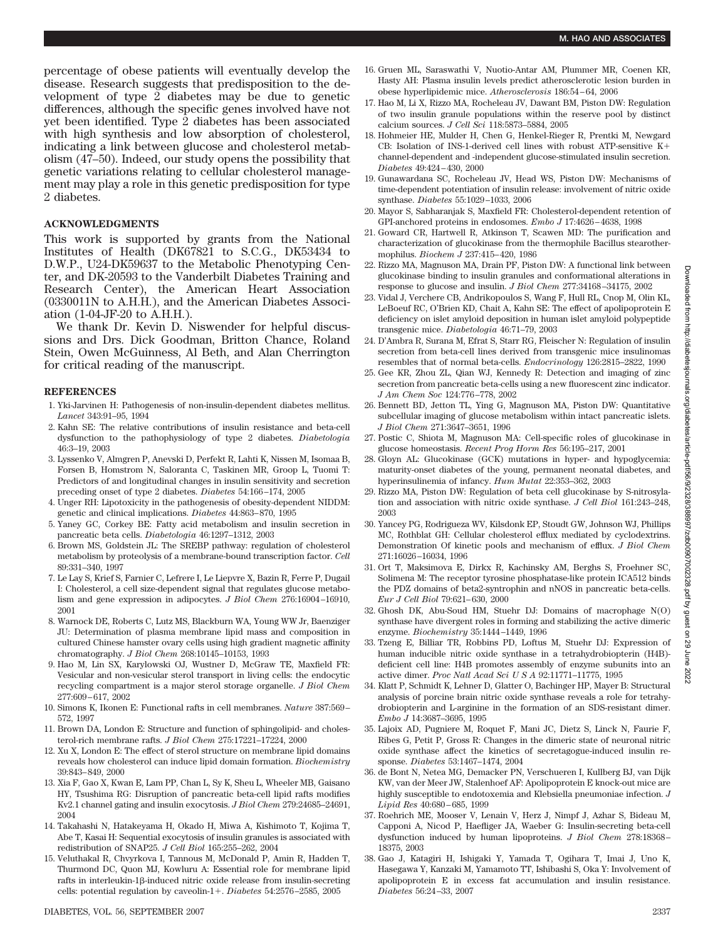percentage of obese patients will eventually develop the disease. Research suggests that predisposition to the development of type 2 diabetes may be due to genetic differences, although the specific genes involved have not yet been identified. Type 2 diabetes has been associated with high synthesis and low absorption of cholesterol, indicating a link between glucose and cholesterol metabolism (47–50). Indeed, our study opens the possibility that genetic variations relating to cellular cholesterol management may play a role in this genetic predisposition for type 2 diabetes.

## **ACKNOWLEDGMENTS**

This work is supported by grants from the National Institutes of Health (DK67821 to S.C.G., DK53434 to D.W.P., U24-DK59637 to the Metabolic Phenotyping Center, and DK-20593 to the Vanderbilt Diabetes Training and Research Center), the American Heart Association (0330011N to A.H.H.), and the American Diabetes Association (1-04-JF-20 to A.H.H.).

We thank Dr. Kevin D. Niswender for helpful discussions and Drs. Dick Goodman, Britton Chance, Roland Stein, Owen McGuinness, Al Beth, and Alan Cherrington for critical reading of the manuscript.

#### **REFERENCES**

- 1. Yki-Jarvinen H: Pathogenesis of non-insulin-dependent diabetes mellitus. *Lancet* 343:91–95, 1994
- 2. Kahn SE: The relative contributions of insulin resistance and beta-cell dysfunction to the pathophysiology of type 2 diabetes. *Diabetologia* 46:3–19, 2003
- 3. Lyssenko V, Almgren P, Anevski D, Perfekt R, Lahti K, Nissen M, Isomaa B, Forsen B, Homstrom N, Saloranta C, Taskinen MR, Groop L, Tuomi T: Predictors of and longitudinal changes in insulin sensitivity and secretion preceding onset of type 2 diabetes. *Diabetes* 54:166–174, 2005
- 4. Unger RH: Lipotoxicity in the pathogenesis of obesity-dependent NIDDM: genetic and clinical implications. *Diabetes* 44:863–870, 1995
- 5. Yaney GC, Corkey BE: Fatty acid metabolism and insulin secretion in pancreatic beta cells. *Diabetologia* 46:1297–1312, 2003
- 6. Brown MS, Goldstein JL: The SREBP pathway: regulation of cholesterol metabolism by proteolysis of a membrane-bound transcription factor. *Cell* 89:331–340, 1997
- 7. Le Lay S, Krief S, Farnier C, Lefrere I, Le Liepvre X, Bazin R, Ferre P, Dugail I: Cholesterol, a cell size-dependent signal that regulates glucose metabolism and gene expression in adipocytes. *J Biol Chem* 276:16904–16910, 2001
- 8. Warnock DE, Roberts C, Lutz MS, Blackburn WA, Young WW Jr, Baenziger JU: Determination of plasma membrane lipid mass and composition in cultured Chinese hamster ovary cells using high gradient magnetic affinity chromatography. *J Biol Chem* 268:10145–10153, 1993
- 9. Hao M, Lin SX, Karylowski OJ, Wustner D, McGraw TE, Maxfield FR: Vesicular and non-vesicular sterol transport in living cells: the endocytic recycling compartment is a major sterol storage organelle. *J Biol Chem* 277:609–617, 2002
- 10. Simons K, Ikonen E: Functional rafts in cell membranes. *Nature* 387:569– 572, 1997
- 11. Brown DA, London E: Structure and function of sphingolipid- and cholesterol-rich membrane rafts. *J Biol Chem* 275:17221–17224, 2000
- 12. Xu X, London E: The effect of sterol structure on membrane lipid domains reveals how cholesterol can induce lipid domain formation. *Biochemistry* 39:843–849, 2000
- 13. Xia F, Gao X, Kwan E, Lam PP, Chan L, Sy K, Sheu L, Wheeler MB, Gaisano HY, Tsushima RG: Disruption of pancreatic beta-cell lipid rafts modifies Kv2.1 channel gating and insulin exocytosis. *J Biol Chem* 279:24685–24691, 2004
- 14. Takahashi N, Hatakeyama H, Okado H, Miwa A, Kishimoto T, Kojima T, Abe T, Kasai H: Sequential exocytosis of insulin granules is associated with redistribution of SNAP25. *J Cell Biol* 165:255–262, 2004
- 15. Veluthakal R, Chvyrkova I, Tannous M, McDonald P, Amin R, Hadden T, Thurmond DC, Quon MJ, Kowluru A: Essential role for membrane lipid rafts in interleukin-16-induced nitric oxide release from insulin-secreting cells: potential regulation by caveolin-1+. *Diabetes* 54:2576-2585, 2005
- 16. Gruen ML, Saraswathi V, Nuotio-Antar AM, Plummer MR, Coenen KR, Hasty AH: Plasma insulin levels predict atherosclerotic lesion burden in obese hyperlipidemic mice. *Atherosclerosis* 186:54–64, 2006
- 17. Hao M, Li X, Rizzo MA, Rocheleau JV, Dawant BM, Piston DW: Regulation of two insulin granule populations within the reserve pool by distinct calcium sources. *J Cell Sci* 118:5873–5884, 2005
- 18. Hohmeier HE, Mulder H, Chen G, Henkel-Rieger R, Prentki M, Newgard CB: Isolation of INS-1-derived cell lines with robust ATP-sensitive K channel-dependent and -independent glucose-stimulated insulin secretion. *Diabetes* 49:424–430, 2000
- 19. Gunawardana SC, Rocheleau JV, Head WS, Piston DW: Mechanisms of time-dependent potentiation of insulin release: involvement of nitric oxide synthase. *Diabetes* 55:1029–1033, 2006
- 20. Mayor S, Sabharanjak S, Maxfield FR: Cholesterol-dependent retention of GPI-anchored proteins in endosomes. *Embo J* 17:4626–4638, 1998
- 21. Goward CR, Hartwell R, Atkinson T, Scawen MD: The purification and characterization of glucokinase from the thermophile Bacillus stearothermophilus. *Biochem J* 237:415–420, 1986
- 22. Rizzo MA, Magnuson MA, Drain PF, Piston DW: A functional link between glucokinase binding to insulin granules and conformational alterations in response to glucose and insulin. *J Biol Chem* 277:34168–34175, 2002
- 23. Vidal J, Verchere CB, Andrikopoulos S, Wang F, Hull RL, Cnop M, Olin KL, LeBoeuf RC, O'Brien KD, Chait A, Kahn SE: The effect of apolipoprotein E deficiency on islet amyloid deposition in human islet amyloid polypeptide transgenic mice. *Diabetologia* 46:71–79, 2003
- 24. D'Ambra R, Surana M, Efrat S, Starr RG, Fleischer N: Regulation of insulin secretion from beta-cell lines derived from transgenic mice insulinomas resembles that of normal beta-cells. *Endocrinology* 126:2815–2822, 1990
- 25. Gee KR, Zhou ZL, Qian WJ, Kennedy R: Detection and imaging of zinc secretion from pancreatic beta-cells using a new fluorescent zinc indicator. *J Am Chem Soc* 124:776–778, 2002
- 26. Bennett BD, Jetton TL, Ying G, Magnuson MA, Piston DW: Quantitative subcellular imaging of glucose metabolism within intact pancreatic islets. *J Biol Chem* 271:3647–3651, 1996
- 27. Postic C, Shiota M, Magnuson MA: Cell-specific roles of glucokinase in glucose homeostasis. *Recent Prog Horm Res* 56:195–217, 2001
- 28. Gloyn AL: Glucokinase (GCK) mutations in hyper- and hypoglycemia: maturity-onset diabetes of the young, permanent neonatal diabetes, and hyperinsulinemia of infancy. *Hum Mutat* 22:353–362, 2003
- 29. Rizzo MA, Piston DW: Regulation of beta cell glucokinase by S-nitrosylation and association with nitric oxide synthase. *J Cell Biol* 161:243–248, 2003
- 30. Yancey PG, Rodrigueza WV, Kilsdonk EP, Stoudt GW, Johnson WJ, Phillips MC, Rothblat GH: Cellular cholesterol efflux mediated by cyclodextrins. Demonstration Of kinetic pools and mechanism of efflux. *J Biol Chem* 271:16026–16034, 1996
- 31. Ort T, Maksimova E, Dirkx R, Kachinsky AM, Berghs S, Froehner SC, Solimena M: The receptor tyrosine phosphatase-like protein ICA512 binds the PDZ domains of beta2-syntrophin and nNOS in pancreatic beta-cells. *Eur J Cell Biol* 79:621–630, 2000
- 32. Ghosh DK, Abu-Soud HM, Stuehr DJ: Domains of macrophage N(O) synthase have divergent roles in forming and stabilizing the active dimeric enzyme. *Biochemistry* 35:1444–1449, 1996
- 33. Tzeng E, Billiar TR, Robbins PD, Loftus M, Stuehr DJ: Expression of human inducible nitric oxide synthase in a tetrahydrobiopterin (H4B) deficient cell line: H4B promotes assembly of enzyme subunits into an active dimer. *Proc Natl Acad SciUSA* 92:11771–11775, 1995
- 34. Klatt P, Schmidt K, Lehner D, Glatter O, Bachinger HP, Mayer B: Structural analysis of porcine brain nitric oxide synthase reveals a role for tetrahydrobiopterin and L-arginine in the formation of an SDS-resistant dimer. *Embo J* 14:3687–3695, 1995
- 35. Lajoix AD, Pugniere M, Roquet F, Mani JC, Dietz S, Linck N, Faurie F, Ribes G, Petit P, Gross R: Changes in the dimeric state of neuronal nitric oxide synthase affect the kinetics of secretagogue-induced insulin response. *Diabetes* 53:1467–1474, 2004
- 36. de Bont N, Netea MG, Demacker PN, Verschueren I, Kullberg BJ, van Dijk KW, van der Meer JW, Stalenhoef AF: Apolipoprotein E knock-out mice are highly susceptible to endotoxemia and Klebsiella pneumoniae infection. *J Lipid Res* 40:680–685, 1999
- 37. Roehrich ME, Mooser V, Lenain V, Herz J, Nimpf J, Azhar S, Bideau M, Capponi A, Nicod P, Haefliger JA, Waeber G: Insulin-secreting beta-cell dysfunction induced by human lipoproteins. *J Biol Chem* 278:18368– 18375, 2003
- 38. Gao J, Katagiri H, Ishigaki Y, Yamada T, Ogihara T, Imai J, Uno K, Hasegawa Y, Kanzaki M, Yamamoto TT, Ishibashi S, Oka Y: Involvement of apolipoprotein E in excess fat accumulation and insulin resistance. *Diabetes* 56:24–33, 2007